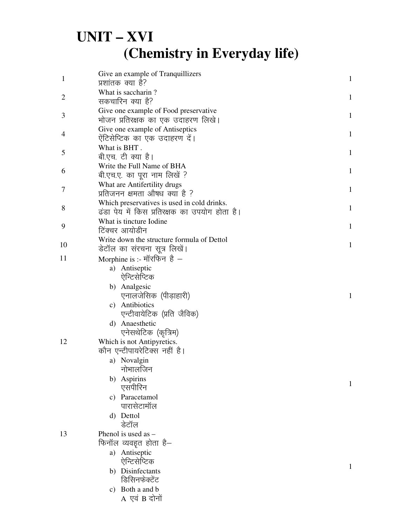## $UNIT - XVI$ (Chemistry in Everyday life)

| $\mathbf{1}$   | Give an example of Tranquillizers<br>प्रशांतक क्या है?                                       | $\mathbf{1}$ |
|----------------|----------------------------------------------------------------------------------------------|--------------|
|                | What is saccharin?                                                                           |              |
| $\overline{2}$ | सकचारिन क्या है?                                                                             | $\mathbf{1}$ |
| 3              | Give one example of Food preservative<br>भोजन प्रतिरक्षक का एक उदाहरण लिखे।                  | $\mathbf{1}$ |
| 4              | Give one example of Antiseptics<br>ऐंटिसेप्टिक का एक उदाहरण दें।                             | $\mathbf{1}$ |
| 5              | What is BHT.<br>बी.एच. टी क्या है।                                                           | $\mathbf{1}$ |
| 6              | Write the Full Name of BHA<br>बी.एच.ए. का पूरा नाम लिखें ?                                   | $\mathbf{1}$ |
| 7              | What are Antifertility drugs<br>प्रतिजनन क्षमता औषध क्या है ?                                | $\mathbf{1}$ |
| 8              | Which preservatives is used in cold drinks.<br>ढंडा पेय में किस प्रतिरक्षक का उपयोग होता है। | $\mathbf{1}$ |
| 9              | What is tincture Iodine<br>टिंक्चर आयोडीन                                                    | $\mathbf{1}$ |
|                | Write down the structure formula of Dettol                                                   |              |
| 10             | डेटॉल का संरचना सूत्र लिखें।                                                                 | $\mathbf{1}$ |
| 11             | Morphine is :- मॉरफिन है $-$                                                                 |              |
|                | a) Antiseptic                                                                                |              |
|                | ऐन्टिसेप्टिक                                                                                 |              |
|                | b) Analgesic<br>एनालजेसिक (पीड़ाहारी)                                                        | $\mathbf{1}$ |
|                | c) Antibiotics<br>एन्टीवायेटिक (प्रति जैविक)                                                 |              |
|                | d) Anaesthetic<br>एनेसथेटिक (कृत्रिम)                                                        |              |
| 12             | Which is not Antipyretics.                                                                   |              |
|                | कौन एन्टीपायरेटिक्स नहीं है।                                                                 |              |
|                | a) Novalgin                                                                                  |              |
|                | नाभालजिन                                                                                     |              |
|                | b) Aspirins                                                                                  | 1            |
|                | एसपीरिन                                                                                      |              |
|                | c) Paracetamol                                                                               |              |
|                | पारासेटामॉल                                                                                  |              |
|                | d) Dettol                                                                                    |              |
|                | डेटॉल                                                                                        |              |
| 13             | Phenol is used as $-$                                                                        |              |
|                | फिनॉल व्यवहृत होता है—                                                                       |              |
|                | a) Antiseptic<br>ऐन्टिसेप्टिक                                                                |              |
|                | b) Disinfectants                                                                             | 1            |
|                | डिसिनफेक्टेंट                                                                                |              |
|                | c) Both a and b                                                                              |              |
|                | A एवं B दोनों                                                                                |              |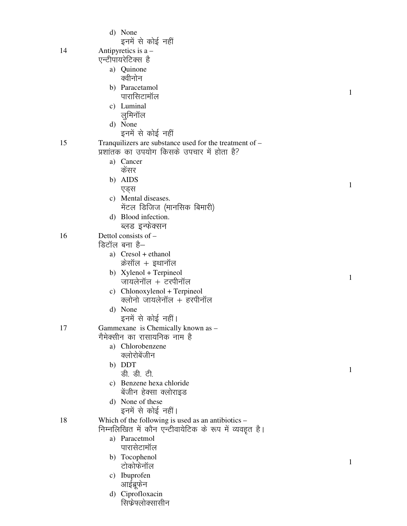|    | d) None<br>इनमें से कोई नहीं                                                                          |              |
|----|-------------------------------------------------------------------------------------------------------|--------------|
| 14 | Antipyretics is $a -$<br>एन्टीपायरेटिक्स है                                                           |              |
|    | a) Quinone<br>क्वीनोन                                                                                 |              |
|    | b) Paracetamol<br>पारासिटामॉल                                                                         | $\mathbf{1}$ |
|    | c) Luminal<br>लुमिनॉल                                                                                 |              |
|    | d) None<br>इनमें से कोई नहीं                                                                          |              |
| 15 | Tranquilizers are substance used for the treatment of –<br>प्रशांतक का उपयोग किसके उपचार में होता है? |              |
|    | a) Cancer<br>केंसर                                                                                    |              |
|    | b) AIDS<br>एड्स                                                                                       | 1            |
|    | c) Mental diseases.<br>मेंटल डिजिज (मानसिक बिमारी)                                                    |              |
|    | d) Blood infection.<br>ब्लड इन्फेक्सन                                                                 |              |
| 16 | Dettol consists of -<br>डिटॉल बना है–                                                                 |              |
|    | a) Cresol + ethanol<br>क्रेसॉल + इथानॉल                                                               |              |
|    | b) Xylenol + Terpineol<br>जायलेनॉल + टरपीनॉल                                                          | $\mathbf{1}$ |
|    | c) Chlonoxylenol + Terpineol<br>क्लोनो जायलेनॉल + हरपीनॉल                                             |              |
|    | d) None<br>इनमें से कोई नहीं।                                                                         |              |
| 17 | Gammexane is Chemically known as -<br>गैमेक्सीन का रासायनिक नाम है                                    |              |
|    | a) Chlorobenzene<br>क्लोरोबेंजीन<br>b) DDT                                                            |              |
|    | ड़ी. डी. टी.<br>c) Benzene hexa chloride                                                              | 1            |
|    | बेंजीन हेक्सा क्लोराइड<br>d) None of these                                                            |              |
| 18 | इनमें से कोई नहीं।<br>Which of the following is used as an antibiotics $-$                            |              |
|    | निम्नलिखित में कौन एन्टीवायेटिक के रूप में व्यवहृत है।<br>a) Paracetmol                               |              |
|    | पारासेटामॉल<br>b) Tocophenol                                                                          |              |
|    | टोकोफेनॉल<br>c) Ibuprofen                                                                             | 1            |
|    | आईब्रूफेन<br>d) Ciprofloxacin                                                                         |              |
|    | सिफ्रेफ्लोक्सासीन                                                                                     |              |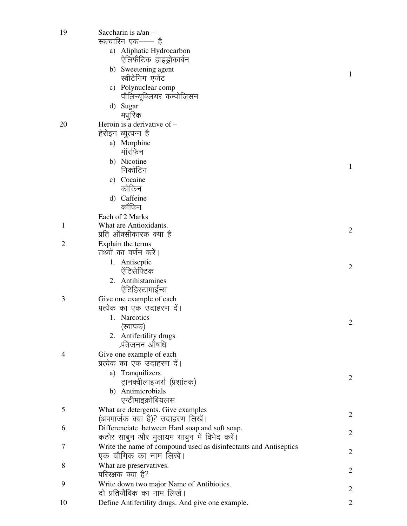| 19             | Saccharin is a/an -                                              |                |
|----------------|------------------------------------------------------------------|----------------|
|                | स्कचारिन एक——— है                                                |                |
|                | a) Aliphatic Hydrocarbon<br>ऐलिफैटिक हाइड्रोकार्बन               |                |
|                | b) Sweetening agent<br>स्वीटेनिग एजेंट                           | 1              |
|                | c) Polynuclear comp                                              |                |
|                | पौलिन्यूक्लियर कम्पोजिसन                                         |                |
|                | d) Sugar                                                         |                |
|                | मधुरिक                                                           |                |
| 20             | Heroin is a derivative of $-$                                    |                |
|                | हेरोइन व्युत्पन्न है                                             |                |
|                | a) Morphine<br>मॉरफिन                                            |                |
|                | b) Nicotine                                                      | 1              |
|                | निकोटिन                                                          |                |
|                | c) Cocaine                                                       |                |
|                | कोकिन                                                            |                |
|                | d) Caffeine                                                      |                |
|                | कॉफिन                                                            |                |
|                | Each of 2 Marks                                                  |                |
| 1              | What are Antioxidants.<br>प्रति ऑक्सीकारक क्या है                | $\overline{c}$ |
| $\overline{2}$ | Explain the terms                                                |                |
|                | तथ्यों का वर्णन करें।                                            |                |
|                | 1. Antiseptic                                                    |                |
|                | ऐंटिसेफ्टिक                                                      | 2              |
|                | 2. Antihistamines                                                |                |
|                | ऐंटिहिस्टामाईन्स                                                 |                |
| 3              | Give one example of each                                         |                |
|                | प्रत्येक का एक उदाहरण दें।                                       |                |
|                | 1. Narcotics                                                     | 2              |
|                | (स्वापक)                                                         |                |
|                | 2. Antifertility drugs<br>र्प्रतेजनन औषधि                        |                |
| $\overline{4}$ | Give one example of each                                         |                |
|                | प्रत्येक का एक उदाहरण दें।                                       |                |
|                | a) Tranquilizers                                                 |                |
|                | ट्रानक्वीलाइजर्स (प्रशांतक)                                      | 2              |
|                | b) Antimicrobials                                                |                |
|                | एन्टीमाइक्रोबियलस                                                |                |
| 5              | What are detergents. Give examples                               | $\overline{c}$ |
|                | (अपमार्जक क्या है)? उदाहरण लिखें।                                |                |
| 6              | Differenciate between Hard soap and soft soap.                   | 2              |
|                | कठोर साबुन और मुलायम साबुन में विभेद करें।                       |                |
| 7              | Write the name of compound used as disinfectants and Antiseptics | 2              |
|                | एक यौगिक का नाम लिखें।                                           |                |
| 8              | What are preservatives.<br>परिरक्षक क्या है?                     | $\overline{c}$ |
| 9              | Write down two major Name of Antibiotics.                        |                |
|                | दो प्रतिजैविक का नाम लिखें।                                      | $\overline{c}$ |
| 10             | Define Antifertility drugs. And give one example.                | 2              |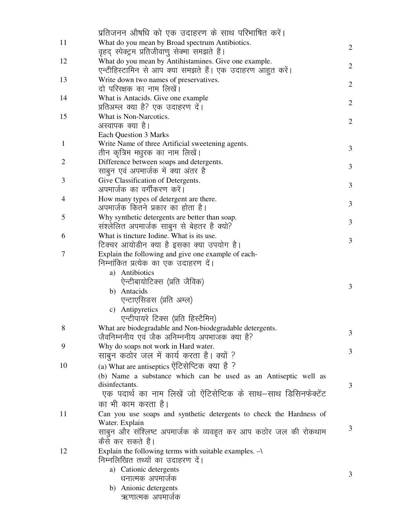|                | प्रतिजनन औषधि को एक उदाहरण के साथ परिभाषित करें।                                                                                                                                                                            |                |
|----------------|-----------------------------------------------------------------------------------------------------------------------------------------------------------------------------------------------------------------------------|----------------|
| 11             | What do you mean by Broad spectrum Antibiotics.                                                                                                                                                                             |                |
|                | वृहद् स्पेक्ट्रम प्रतिजीवाणु सेक्मा समझते हैं।                                                                                                                                                                              | 2              |
| 12             | What do you mean by Antihistamines. Give one example.<br>एन्टीहिस्टामिन से आप क्या समझते हैं। एक उदाहरण आहुत करें।                                                                                                          | 2              |
| 13             | Write down two names of preservatives.<br>दो परिरक्षक का नाम लिखें।                                                                                                                                                         | 2              |
| 14             | What is Antacids. Give one example<br>प्रतिअम्ल क्या है? एक उदाहरण दें।                                                                                                                                                     | $\overline{2}$ |
| 15             | What is Non-Narcotics.<br>अस्वापक क्या है।<br><b>Each Question 3 Marks</b>                                                                                                                                                  | $\overline{2}$ |
| $\mathbf{1}$   | Write Name of three Artificial sweetening agents.<br>तीन कृत्रिम मधुरक का नाम लिखें।                                                                                                                                        | 3              |
| $\overline{2}$ | Difference between soaps and detergents.<br>साबुन एवं अपमार्जक में क्या अंतर है                                                                                                                                             | 3              |
| 3              | Give Classification of Detergents.<br>अपमार्जक का वर्गीकरण करें।                                                                                                                                                            | 3              |
| 4              | How many types of detergent are there.<br>अपमार्जक कितने प्रकार का होता है।                                                                                                                                                 | 3              |
| 5              | Why synthetic detergents are better than soap.<br>संश्लेलित अपमार्जक साबुन से बेहतर है क्यो?                                                                                                                                | 3              |
| 6              | What is tincture Iodine. What is its use.<br>टिक्चर आयोडीन क्या है इसका क्या उपयोग है।                                                                                                                                      | 3              |
| 7              | Explain the following and give one example of each-<br>निम्नांकित प्रत्येक का एक उदाहरण दें।<br>a) Antibiotics<br>ऐन्टीबायोटिक्स (प्रति जैविक)<br>b) Antacids                                                               | 3              |
|                | एन्टाएसिडस (प्रति अम्ल)<br>c) Antipyretics<br>एन्टीपायरे टिक्स (प्रति हिस्टैमिन)                                                                                                                                            |                |
|                | What are biodegradable and Non-biodegradable detergents.<br>जैवनिम्ननीय एवं जैक अनिम्ननीय अपभाजक क्या है?                                                                                                                   | 3              |
| 9              | Why do soaps not work in Hard water.<br>साबुन कठोर जल में कार्य करता है। क्यों ?                                                                                                                                            | 3              |
| 10             | (a) What are antiseptics ऐंटिसेप्टिक क्या है ?<br>(b) Name a substance which can be used as an Antiseptic well as<br>disinfectants.<br>एक पदार्थ का नाम लिखें जो ऐंटिसेप्टिक के साथ–साथ डिसिनफेक्टेंट<br>का भी काम करता है। | 3              |
| 11             | Can you use soaps and synthetic detergents to check the Hardness of<br>Water. Explain<br>साबुन और संश्लिष्ट अपमार्जक के व्यवहृत कर आप कठोर जल की रोकथाम<br>कैसे कर सकते हैं।                                                | 3              |
| 12             | Explain the following terms with suitable examples. $\rightarrow$<br>निम्नलिखित तथ्यों का उदाहरण दें।<br>a) Cationic detergents<br>धनात्मक अपमार्जक<br>b) Anionic detergents<br>ऋणात्मक अपमार्जक                            | 3              |